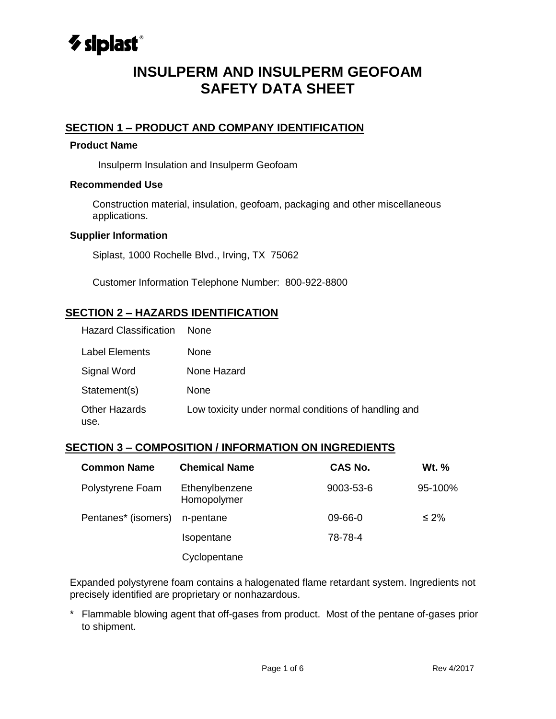

# **INSULPERM AND INSULPERM GEOFOAM SAFETY DATA SHEET**

# **SECTION 1 – PRODUCT AND COMPANY IDENTIFICATION**

### **Product Name**

Insulperm Insulation and Insulperm Geofoam

### **Recommended Use**

Construction material, insulation, geofoam, packaging and other miscellaneous applications.

#### **Supplier Information**

Siplast, 1000 Rochelle Blvd., Irving, TX 75062

Customer Information Telephone Number: 800-922-8800

# **SECTION 2 – HAZARDS IDENTIFICATION**

| <b>Hazard Classification</b> | None.                                                |
|------------------------------|------------------------------------------------------|
| Label Elements               | <b>None</b>                                          |
| Signal Word                  | None Hazard                                          |
| Statement(s)                 | None                                                 |
| <b>Other Hazards</b><br>use. | Low toxicity under normal conditions of handling and |

# **SECTION 3 – COMPOSITION / INFORMATION ON INGREDIENTS**

| <b>Common Name</b>  | <b>Chemical Name</b>          | <b>CAS No.</b> | Wt. %      |
|---------------------|-------------------------------|----------------|------------|
| Polystyrene Foam    | Ethenylbenzene<br>Homopolymer | 9003-53-6      | 95-100%    |
| Pentanes* (isomers) | n-pentane                     | 09-66-0        | $\leq 2\%$ |
|                     | Isopentane                    | 78-78-4        |            |
|                     | Cyclopentane                  |                |            |

7 Expanded polystyrene foam contains a halogenated flame retardant system. Ingredients not precisely identified are proprietary or nonhazardous.

 $\overline{a}$ 2 \* Flammable blowing agent that off-gases from product. Most of the pentane of-gases prior to shipment.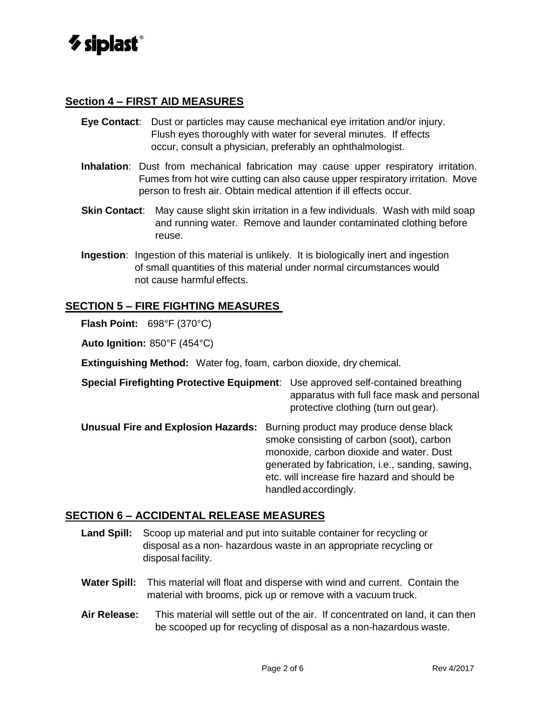

### **Section 4 – FIRST AID MEASURES**

- **Eye Contact**: Dust or particles may cause mechanical eye irritation and/or injury. Flush eyes thoroughly with water for several minutes. If effects occur, consult a physician, preferably an ophthalmologist.
- **Inhalation**: Dust from mechanical fabrication may cause upper respiratory irritation. Fumes from hot wire cutting can also cause upper respiratory irritation. Move person to fresh air. Obtain medical attention if ill effects occur.
- **Skin Contact**: May cause slight skin irritation in a few individuals. Wash with mild soap and running water. Remove and launder contaminated clothing before reuse.
- **Ingestion**: Ingestion of this material is unlikely. It is biologically inert and ingestion of small quantities of this material under normal circumstances would not cause harmful effects.

### **SECTION 5 – FIRE FIGHTING MEASURES**

**Flash Point:** 698°F (370°C)

**Auto Ignition:** 850°F (454°C)

**Extinguishing Method:** Water fog, foam, carbon dioxide, dry chemical.

| <b>Special Firefighting Protective Equipment:</b> Use approved self-contained breathing |                                            |
|-----------------------------------------------------------------------------------------|--------------------------------------------|
|                                                                                         | apparatus with full face mask and personal |
|                                                                                         | protective clothing (turn out gear).       |

**Unusual Fire and Explosion Hazards:** Burning product may produce dense black smoke consisting of carbon (soot), carbon monoxide, carbon dioxide and water. Dust generated by fabrication, i.e., sanding, sawing, etc. will increase fire hazard and should be handled accordingly.

### **SECTION 6 – ACCIDENTAL RELEASE MEASURES**

- **Land Spill:** Scoop up material and put into suitable container for recycling or disposal as a non- hazardous waste in an appropriate recycling or disposal facility.
- **Water Spill:** This material will float and disperse with wind and current. Contain the material with brooms, pick up or remove with a vacuum truck.
- **Air Release:** This material will settle out of the air. If concentrated on land, it can then be scooped up for recycling of disposal as a non-hazardous waste.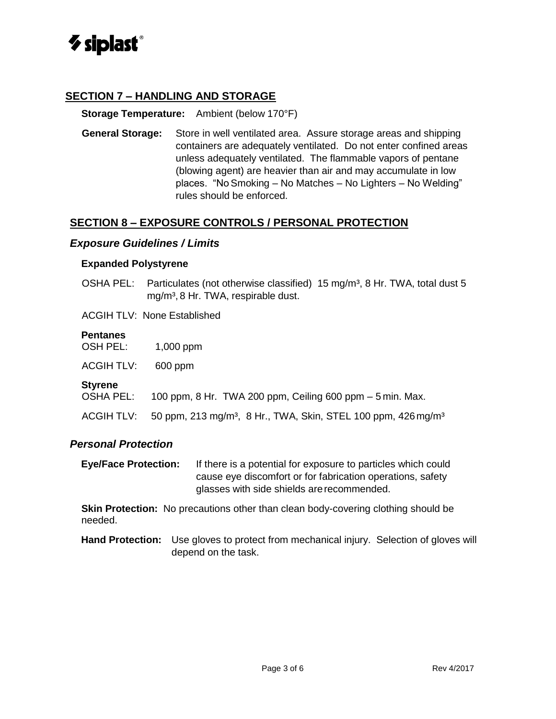

### **SECTION 7 – HANDLING AND STORAGE**

#### **Storage Temperature:** Ambient (below 170°F)

**General Storage:** Store in well ventilated area. Assure storage areas and shipping containers are adequately ventilated. Do not enter confined areas unless adequately ventilated. The flammable vapors of pentane (blowing agent) are heavier than air and may accumulate in low places. "NoSmoking – No Matches – No Lighters – No Welding" rules should be enforced.

### **SECTION 8 – EXPOSURE CONTROLS / PERSONAL PROTECTION**

#### *Exposure Guidelines / Limits*

#### **Expanded Polystyrene**

OSHA PEL: Particulates (not otherwise classified) 15 mg/m<sup>3</sup>, 8 Hr. TWA, total dust 5 mg/m<sup>3</sup>, 8 Hr. TWA, respirable dust.

ACGIH TLV: None Established

#### **Pentanes**

| <b>OSH PEL:</b> | 1,000 ppm |
|-----------------|-----------|
|-----------------|-----------|

| <b>ACGIHTLV:</b> | 600 ppm |
|------------------|---------|
|------------------|---------|

#### **Styrene**

- OSHA PEL: 100 ppm, 8 Hr. TWA 200 ppm, Ceiling 600 ppm 5 min. Max.
- ACGIH TLV:  $50$  ppm, 213 mg/m<sup>3</sup>, 8 Hr., TWA, Skin, STEL 100 ppm, 426 mg/m<sup>3</sup>

### *Personal Protection*

**Eye/Face Protection:** If there is a potential for exposure to particles which could cause eye discomfort or for fabrication operations, safety glasses with side shields arerecommended.

**Skin Protection:** No precautions other than clean body-covering clothing should be needed.

**Hand Protection:** Use gloves to protect from mechanical injury. Selection of gloves will depend on the task.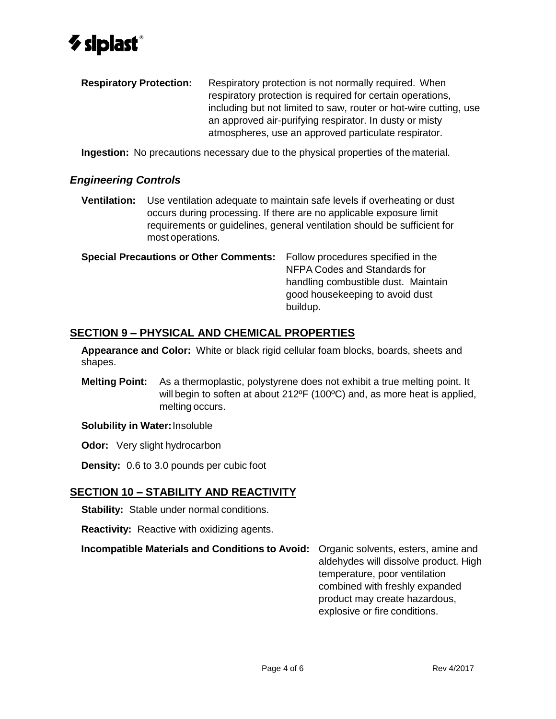

**Respiratory Protection:** Respiratory protection is not normally required. When respiratory protection is required for certain operations, including but not limited to saw, router or hot-wire cutting, use an approved air-purifying respirator. In dusty or misty atmospheres, use an approved particulate respirator.

**Ingestion:** No precautions necessary due to the physical properties of the material.

### *Engineering Controls*

**Ventilation:** Use ventilation adequate to maintain safe levels if overheating or dust occurs during processing. If there are no applicable exposure limit requirements or guidelines, general ventilation should be sufficient for most operations.

| <b>Special Precautions or Other Comments:</b> Follow procedures specified in the | NFPA Codes and Standards for<br>handling combustible dust. Maintain<br>good housekeeping to avoid dust |
|----------------------------------------------------------------------------------|--------------------------------------------------------------------------------------------------------|
|                                                                                  | buildup.                                                                                               |

# **SECTION 9 – PHYSICAL AND CHEMICAL PROPERTIES**

**Appearance and Color:** White or black rigid cellular foam blocks, boards, sheets and shapes.

**Melting Point:** As a thermoplastic, polystyrene does not exhibit a true melting point. It will begin to soften at about 212ºF (100ºC) and, as more heat is applied, melting occurs.

**Solubility in Water:**Insoluble

**Odor:** Very slight hydrocarbon

**Density:** 0.6 to 3.0 pounds per cubic foot

# **SECTION 10 – STABILITY AND REACTIVITY**

**Stability:** Stable under normal conditions.

**Reactivity:** Reactive with oxidizing agents.

**Incompatible Materials and Conditions to Avoid:** Organic solvents, esters, amine and

aldehydes will dissolve product. High temperature, poor ventilation combined with freshly expanded product may create hazardous, explosive or fire conditions.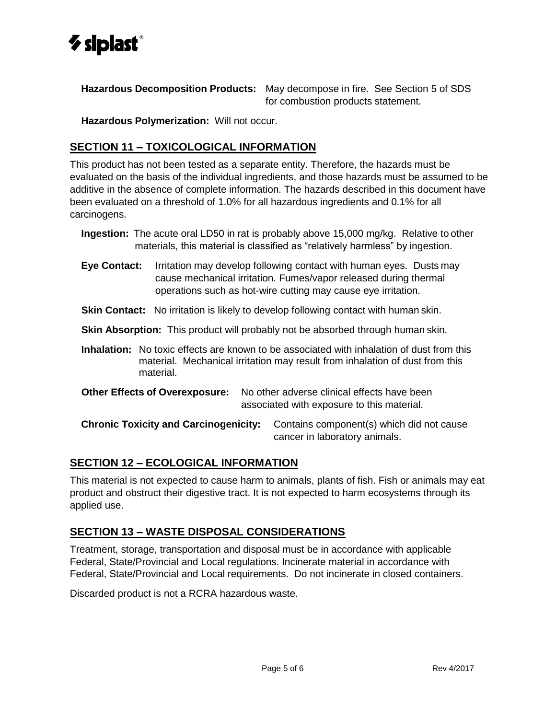

**Hazardous Decomposition Products:** May decompose in fire. See Section 5 of SDS for combustion products statement.

**Hazardous Polymerization:** Will not occur.

# **SECTION 11 – TOXICOLOGICAL INFORMATION**

This product has not been tested as a separate entity. Therefore, the hazards must be evaluated on the basis of the individual ingredients, and those hazards must be assumed to be additive in the absence of complete information. The hazards described in this document have been evaluated on a threshold of 1.0% for all hazardous ingredients and 0.1% for all carcinogens.

- **Ingestion:** The acute oral LD50 in rat is probably above 15,000 mg/kg. Relative to other materials, this material is classified as "relatively harmless" by ingestion.
- **Eye Contact:** Irritation may develop following contact with human eyes. Dusts may cause mechanical irritation. Fumes/vapor released during thermal operations such as hot-wire cutting may cause eye irritation.
- **Skin Contact:** No irritation is likely to develop following contact with human skin.
- **Skin Absorption:** This product will probably not be absorbed through human skin.
- **Inhalation:** No toxic effects are known to be associated with inhalation of dust from this material. Mechanical irritation may result from inhalation of dust from this material.
- **Other Effects of Overexposure:** No other adverse clinical effects have been associated with exposure to this material.

**Chronic Toxicity and Carcinogenicity:** Contains component(s) which did not cause cancer in laboratory animals.

# **SECTION 12 – ECOLOGICAL INFORMATION**

This material is not expected to cause harm to animals, plants of fish. Fish or animals may eat product and obstruct their digestive tract. It is not expected to harm ecosystems through its applied use.

# **SECTION 13 – WASTE DISPOSAL CONSIDERATIONS**

Treatment, storage, transportation and disposal must be in accordance with applicable Federal, State/Provincial and Local regulations. Incinerate material in accordance with Federal, State/Provincial and Local requirements. Do not incinerate in closed containers.

Discarded product is not a RCRA hazardous waste.